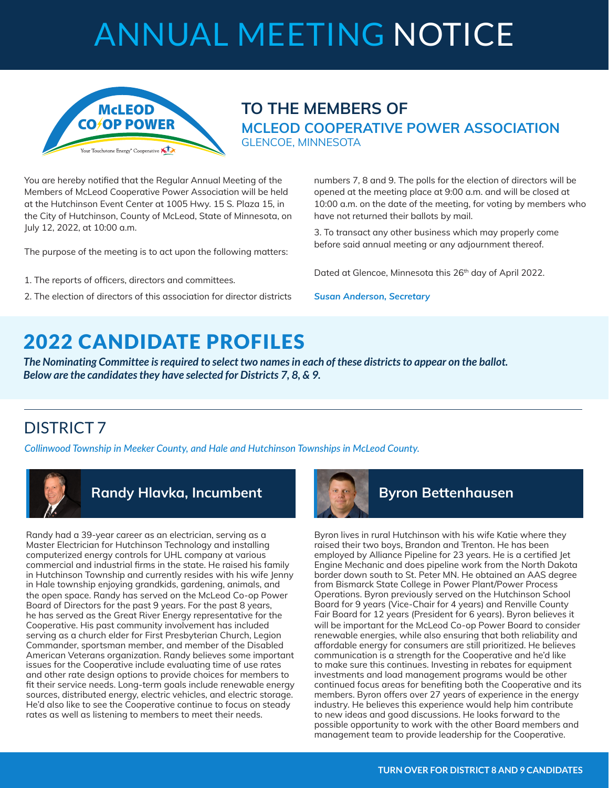# ANNUAL MEETING NOTICE



### **TO THE MEMBERS OF MCLEOD COOPERATIVE POWER ASSOCIATION** GLENCOE, MINNESOTA

You are hereby notified that the Regular Annual Meeting of the Members of McLeod Cooperative Power Association will be held at the Hutchinson Event Center at 1005 Hwy. 15 S. Plaza 15, in the City of Hutchinson, County of McLeod, State of Minnesota, on July 12, 2022, at 10:00 a.m.

The purpose of the meeting is to act upon the following matters:

- 1. The reports of officers, directors and committees.
- 2. The election of directors of this association for director districts

numbers 7, 8 and 9. The polls for the election of directors will be opened at the meeting place at 9:00 a.m. and will be closed at 10:00 a.m. on the date of the meeting, for voting by members who have not returned their ballots by mail.

3. To transact any other business which may properly come before said annual meeting or any adjournment thereof.

Dated at Glencoe, Minnesota this 26<sup>th</sup> day of April 2022.

*Susan Anderson, Secretary* 

## 2022 CANDIDATE PROFILES

*The Nominating Committee is required to select two names in each of these districts to appear on the ballot. Below are the candidates they have selected for Districts 7, 8, & 9.*

### DISTRICT 7

*Collinwood Township in Meeker County, and Hale and Hutchinson Townships in McLeod County.*



### **Randy Hlavka, Incumbent Byron Bettenhausen**

Randy had a 39-year career as an electrician, serving as a Master Electrician for Hutchinson Technology and installing computerized energy controls for UHL company at various commercial and industrial firms in the state. He raised his family in Hutchinson Township and currently resides with his wife Jenny in Hale township enjoying grandkids, gardening, animals, and the open space. Randy has served on the McLeod Co-op Power Board of Directors for the past 9 years. For the past 8 years, he has served as the Great River Energy representative for the Cooperative. His past community involvement has included serving as a church elder for First Presbyterian Church, Legion Commander, sportsman member, and member of the Disabled American Veterans organization. Randy believes some important issues for the Cooperative include evaluating time of use rates and other rate design options to provide choices for members to fit their service needs. Long-term goals include renewable energy sources, distributed energy, electric vehicles, and electric storage. He'd also like to see the Cooperative continue to focus on steady rates as well as listening to members to meet their needs.



Byron lives in rural Hutchinson with his wife Katie where they raised their two boys, Brandon and Trenton. He has been employed by Alliance Pipeline for 23 years. He is a certified Jet Engine Mechanic and does pipeline work from the North Dakota border down south to St. Peter MN. He obtained an AAS degree from Bismarck State College in Power Plant/Power Process Operations. Byron previously served on the Hutchinson School Board for 9 years (Vice-Chair for 4 years) and Renville County Fair Board for 12 years (President for 6 years). Byron believes it will be important for the McLeod Co-op Power Board to consider renewable energies, while also ensuring that both reliability and affordable energy for consumers are still prioritized. He believes communication is a strength for the Cooperative and he'd like to make sure this continues. Investing in rebates for equipment investments and load management programs would be other continued focus areas for benefiting both the Cooperative and its members. Byron offers over 27 years of experience in the energy industry. He believes this experience would help him contribute to new ideas and good discussions. He looks forward to the possible opportunity to work with the other Board members and management team to provide leadership for the Cooperative.